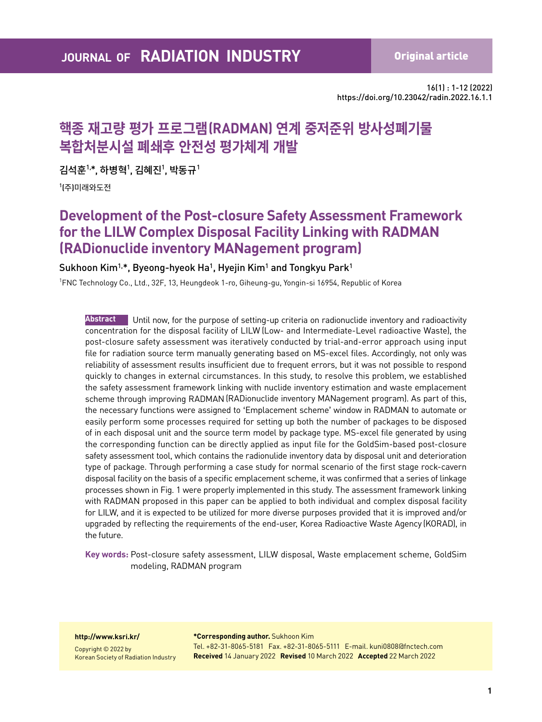16(1) : 1-12 (2022) https://doi.org/10.23042/radin.2022.16.1.1

# **핵종 재고량 평가 프로그램(RADMAN) 연계 중저준위 방사성폐기물 복합처분시설 폐쇄후 안전성 평가체계 개발**

김석훈<sup>1,</sup>\*, 하병혁<sup>1</sup>, 김혜진<sup>1</sup>, 박동규<sup>1</sup>

1 (주)미래와도전

# **Development of the Post-closure Safety Assessment Framework for the LILW Complex Disposal Facility Linking with RADMAN (RADionuclide inventory MANagement program)**

### Sukhoon Kim<sup>1,\*</sup>, Byeong-hyeok Ha<sup>1</sup>, Hyejin Kim<sup>1</sup> and Tongkyu Park<sup>1</sup>

1 FNC Technology Co., Ltd., 32F, 13, Heungdeok 1-ro, Giheung-gu, Yongin-si 16954, Republic of Korea

**Abstract** Until now, for the purpose of setting-up criteria on radionuclide inventory and radioactivity concentration for the disposal facility of LILW (Low- and Intermediate-Level radioactive Waste), the post-closure safety assessment was iteratively conducted by trial-and-error approach using input file for radiation source term manually generating based on MS-excel files. Accordingly, not only was reliability of assessment results insufficient due to frequent errors, but it was not possible to respond quickly to changes in external circumstances. In this study, to resolve this problem, we established the safety assessment framework linking with nuclide inventory estimation and waste emplacement scheme through improving RADMAN (RADionuclide inventory MANagement program). As part of this, the necessary functions were assigned to 'Emplacement scheme' window in RADMAN to automate or easily perform some processes required for setting up both the number of packages to be disposed of in each disposal unit and the source term model by package type. MS-excel file generated by using the corresponding function can be directly applied as input file for the GoldSim-based post-closure safety assessment tool, which contains the radionulide inventory data by disposal unit and deterioration type of package. Through performing a case study for normal scenario of the first stage rock-cavern disposal facility on the basis of a specific emplacement scheme, it was confirmed that a series of linkage processes shown in Fig. 1 were properly implemented in this study. The assessment framework linking with RADMAN proposed in this paper can be applied to both individual and complex disposal facility for LILW, and it is expected to be utilized for more diverse purposes provided that it is improved and/or upgraded by reflecting the requirements of the end-user, Korea Radioactive Waste Agency (KORAD), in the future.

**Key words:** Post-closure safety assessment, LILW disposal, Waste emplacement scheme, GoldSim modeling, RADMAN program

#### **http://www.ksri.kr/**

Copyright © 2022 by Korean Society of Radiation Industry **\*Corresponding author.** Sukhoon Kim Tel. +82-31-8065-5181 Fax. +82-31-8065-5111 E-mail. kuni0808@fnctech.com **Received** 14 January 2022 **Revised** 10 March 2022 **Accepted** 22 March 2022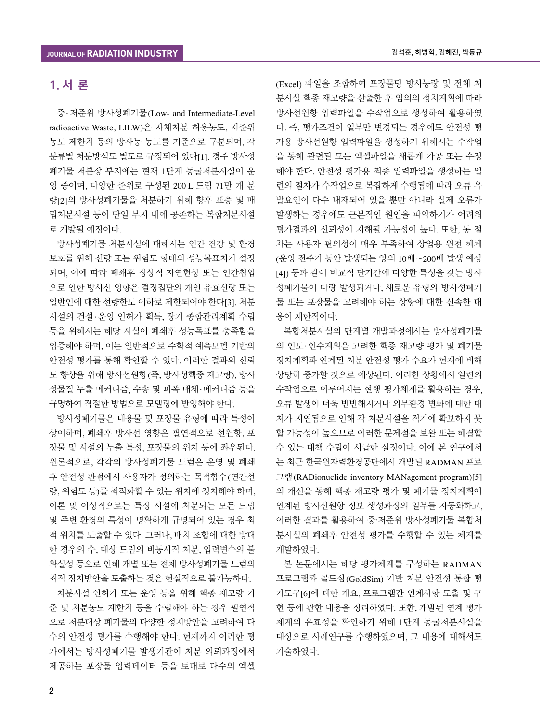## 1. 서 론

중·저준위 방사성폐기물(Low- and Intermediate-Level radioactive Waste, LILW)은 자체처분 허용농도, 저준위 농도 제한치 등의 방사능 농도를 기준으로 구분되며, 각 분류별 처분방식도 별도로 규정되어 있다[1]. 경주 방사성 폐기물 처분장 부지에는 현재 1단계 동굴처분시설이 운 영 중이며, 다양한 준위로 구성된 200 L 드럼 71만 개 분 량[2]의 방사성폐기물을 처분하기 위해 향후 표층 및 매 립처분시설 등이 단일 부지 내에 공존하는 복합처분시설 로 개발될 예정이다.

방사성폐기물 처분시설에 대해서는 인간 건강 및 환경 보호를 위해 선량 또는 위험도 형태의 성능목표치가 설정 되며, 이에 따라 폐쇄후 정상적 자연현상 또는 인간침입 으로 인한 방사선 영향은 결정집단의 개인 유효선량 또는 일반인에 대한 선량한도 이하로 제한되어야 한다[3]. 처분 시설의 건설·운영 인허가 획득, 장기 종합관리계획 수립 등을 위해서는 해당 시설이 폐쇄후 성능목표를 충족함을 입증해야 하며, 이는 일반적으로 수학적 예측모델 기반의 안전성 평가를 통해 확인할 수 있다. 이러한 결과의 신뢰 도 향상을 위해 방사선원항(즉, 방사성핵종 재고량), 방사 성물질 누출 메커니즘, 수송 및 피폭 매체·메커니즘 등을 규명하여 적절한 방법으로 모델링에 반영해야 한다.

방사성폐기물은 내용물 및 포장물 유형에 따라 특성이 상이하며, 폐쇄후 방사선 영향은 필연적으로 선원항, 포 장물 및 시설의 누출 특성, 포장물의 위치 등에 좌우된다. 원론적으로, 각각의 방사성폐기물 드럼은 운영 및 폐쇄 후 안전성 관점에서 사용자가 정의하는 목적함수(연간선 량, 위험도 등)를 최적화할 수 있는 위치에 정치해야 하며, 이론 및 이상적으로는 특정 시설에 처분되는 모든 드럼 및 주변 환경의 특성이 명확하게 규명되어 있는 경우 최 적 위치를 도출할 수 있다. 그러나, 배치 조합에 대한 방대 한 경우의 수, 대상 드럼의 비동시적 처분, 입력변수의 불 확실성 등으로 인해 개별 또는 전체 방사성폐기물 드럼의 최적 정치방안을 도출하는 것은 현실적으로 불가능하다.

처분시설 인허가 또는 운영 등을 위해 핵종 재고량 기 준 및 처분농도 제한치 등을 수립해야 하는 경우 필연적 으로 처분대상 폐기물의 다양한 정치방안을 고려하여 다 수의 안전성 평가를 수행해야 한다. 현재까지 이러한 평 가에서는 방사성폐기물 발생기관이 처분 의뢰과정에서 제공하는 포장물 입력데이터 등을 토대로 다수의 엑셀

(Excel) 파일을 조합하여 포장물당 방사능량 및 전체 처 분시설 핵종 재고량을 산출한 후 임의의 정치계획에 따라 방사선원항 입력파일을 수작업으로 생성하여 활용하였 다. 즉, 평가조건이 일부만 변경되는 경우에도 안전성 평 가용 방사선원항 입력파일을 생성하기 위해서는 수작업 을 통해 관련된 모든 엑셀파일을 새롭게 가공 또는 수정 해야 한다. 안전성 평가용 최종 입력파일을 생성하는 일 련의 절차가 수작업으로 복잡하게 수행됨에 따라 오류 유 발요인이 다수 내재되어 있을 뿐만 아니라 실제 오류가 발생하는 경우에도 근본적인 원인을 파악하기가 어려워 평가결과의 신뢰성이 저해될 가능성이 높다. 또한, 동 절 차는 사용자 편의성이 매우 부족하여 상업용 원전 해체 (운영 전주기 동안 발생되는 양의 10배~200배 발생 예상 [4]) 등과 같이 비교적 단기간에 다양한 특성을 갖는 방사 성폐기물이 다량 발생되거나, 새로운 유형의 방사성폐기 물 또는 포장물을 고려해야 하는 상황에 대한 신속한 대 응이 제한적이다.

복합처분시설의 단계별 개발과정에서는 방사성폐기물 의 인도·인수계획을 고려한 핵종 재고량 평가 및 폐기물 정치계획과 연계된 처분 안전성 평가 수요가 현재에 비해 상당히 증가할 것으로 예상된다. 이러한 상황에서 일련의 수작업으로 이루어지는 현행 평가체계를 활용하는 경우, 오류 발생이 더욱 빈번해지거나 외부환경 변화에 대한 대 처가 지연됨으로 인해 각 처분시설을 적기에 확보하지 못 할 가능성이 높으므로 이러한 문제점을 보완 또는 해결할 수 있는 대책 수립이 시급한 실정이다. 이에 본 연구에서 는 최근 한국원자력환경공단에서 개발된 RADMAN 프로 그램(RADionuclide inventory MANagement program)[5] 의 개선을 통해 핵종 재고량 평가 및 폐기물 정치계획이 연계된 방사선원항 정보 생성과정의 일부를 자동화하고, 이러한 결과를 활용하여 중·저준위 방사성폐기물 복합처 분시설의 폐쇄후 안전성 평가를 수행할 수 있는 체계를 개발하였다.

본 논문에서는 해당 평가체계를 구성하는 RADMAN 프로그램과 골드심(GoldSim) 기반 처분 안전성 통합 평 가도구[6]에 대한 개요, 프로그램간 연계사항 도출 및 구 현 등에 관한 내용을 정리하였다. 또한, 개발된 연계 평가 체계의 유효성을 확인하기 위해 1단계 동굴처분시설을 대상으로 사례연구를 수행하였으며, 그 내용에 대해서도 기술하였다.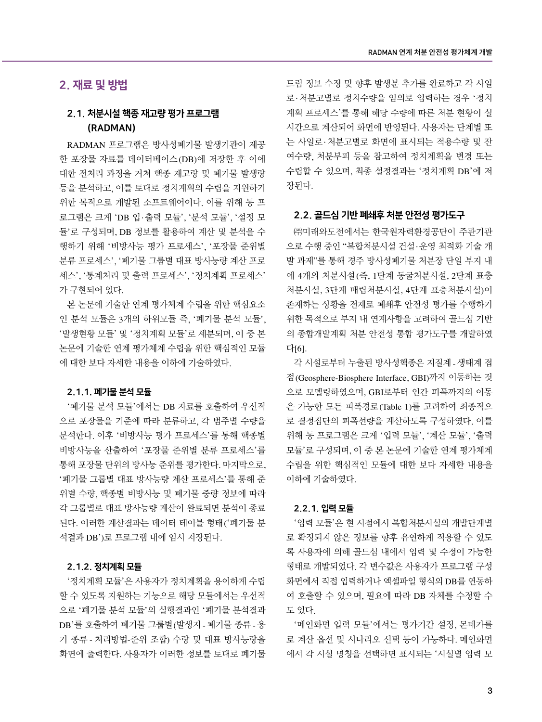## 2. 재료 및 방법

## 2.1. 처분시설 핵종 재고량 평가 프로그램 (RADMAN)

RADMAN 프로그램은 방사성폐기물 발생기관이 제공 한 포장물 자료를 데이터베이스(DB)에 저장한 후 이에 대한 전처리 과정을 거쳐 핵종 재고량 및 폐기물 발생량 등을 분석하고, 이를 토대로 정치계획의 수립을 지원하기 위한 목적으로 개발된 소프트웨어이다. 이를 위해 동 프 로그램은 크게 'DB 입·출력 모듈', '분석 모듈', '설정 모 듈'로 구성되며, DB 정보를 활용하여 계산 및 분석을 수 행하기 위해 '비방사능 평가 프로세스', '포장물 준위별 분류 프로세스', '폐기물 그룹별 대표 방사능량 계산 프로 세스', '통계처리 및 출력 프로세스', '정치계획 프로세스' 가 구현되어 있다.

본 논문에 기술한 연계 평가체계 수립을 위한 핵심요소 인 분석 모듈은 3개의 하위모듈 즉, '폐기물 분석 모듈', '발생현황 모듈' 및 '정치계획 모듈'로 세분되며, 이 중 본 논문에 기술한 연계 평가체계 수립을 위한 핵심적인 모듈 에 대한 보다 자세한 내용을 이하에 기술하였다.

#### 2.1.1. 폐기물 분석 모듈

'폐기물 분석 모듈'에서는 DB 자료를 호출하여 우선적 으로 포장물을 기준에 따라 분류하고, 각 범주별 수량을 분석한다. 이후 '비방사능 평가 프로세스'를 통해 핵종별 비방사능을 산출하여 '포장물 준위별 분류 프로세스'를 통해 포장물 단위의 방사능 준위를 평가한다. 마지막으로, '폐기물 그룹별 대표 방사능량 계산 프로세스'를 통해 준 위별 수량, 핵종별 비방사능 및 폐기물 중량 정보에 따라 각 그룹별로 대표 방사능량 계산이 완료되면 분석이 종료 된다. 이러한 계산결과는 데이터 테이블 형태('폐기물 분 석결과 DB')로 프로그램 내에 임시 저장된다.

#### 2.1.2. 정치계획 모듈

'정치계획 모듈'은 사용자가 정치계획을 용이하게 수립 할 수 있도록 지원하는 기능으로 해당 모듈에서는 우선적 으로 '폐기물 분석 모듈'의 실행결과인 '폐기물 분석결과 DB'를 호출하여 폐기물 그룹별(발생지 - 폐기물 종류 - 용 기 종류 - 처리방법-준위 조합) 수량 및 대표 방사능량을 화면에 출력한다. 사용자가 이러한 정보를 토대로 폐기물 드럼 정보 수정 및 향후 발생분 추가를 완료하고 각 사일 로·처분고별로 정치수량을 임의로 입력하는 경우 '정치 계획 프로세스'를 통해 해당 수량에 따른 처분 현황이 실 시간으로 계산되어 화면에 반영된다. 사용자는 단계별 또 는 사일로·처분고별로 화면에 표시되는 적용수량 및 잔 여수량, 처분부피 등을 참고하여 정치계획을 변경 또는 수립할 수 있으며, 최종 설정결과는 '정치계획 DB'에 저 장된다.

#### 2.2. 골드심 기반 폐쇄후 처분 안전성 평가도구

㈜미래와도전에서는 한국원자력환경공단이 주관기관 으로 수행 중인 "복합처분시설 건설·운영 최적화 기술 개 발 과제"를 통해 경주 방사성폐기물 처분장 단일 부지 내 에 4개의 처분시설(즉, 1단계 동굴처분시설, 2단계 표층 처분시설, 3단계 매립처분시설, 4단계 표층처분시설)이 존재하는 상황을 전제로 폐쇄후 안전성 평가를 수행하기 위한 목적으로 부지 내 연계사항을 고려하여 골드심 기반 의 종합개발계획 처분 안전성 통합 평가도구를 개발하였 다[6].

각 시설로부터 누출된 방사성핵종은 지질계 - 생태계 접 점(Geosphere-Biosphere Interface, GBI)까지 이동하는 것 으로 모델링하였으며, GBI로부터 인간 피폭까지의 이동 은 가능한 모든 피폭경로(Table 1)를 고려하여 최종적으 로 결정집단의 피폭선량을 계산하도록 구성하였다. 이를 위해 동 프로그램은 크게 '입력 모듈', '계산 모듈', '출력 모듈'로 구성되며, 이 중 본 논문에 기술한 연계 평가체계 수립을 위한 핵심적인 모듈에 대한 보다 자세한 내용을 이하에 기술하였다.

#### 2.2.1. 입력 모듈

'입력 모듈'은 현 시점에서 복합처분시설의 개발단계별 로 확정되지 않은 정보를 향후 유연하게 적용할 수 있도 록 사용자에 의해 골드심 내에서 입력 및 수정이 가능한 형태로 개발되었다. 각 변수값은 사용자가 프로그램 구성 화면에서 직접 입력하거나 엑셀파일 형식의 DB를 연동하 여 호출할 수 있으며, 필요에 따라 DB 자체를 수정할 수 도 있다.

'메인화면 입력 모듈'에서는 평가기간 설정, 몬테카를 로 계산 옵션 및 시나리오 선택 등이 가능하다. 메인화면 에서 각 시설 명칭을 선택하면 표시되는 '시설별 입력 모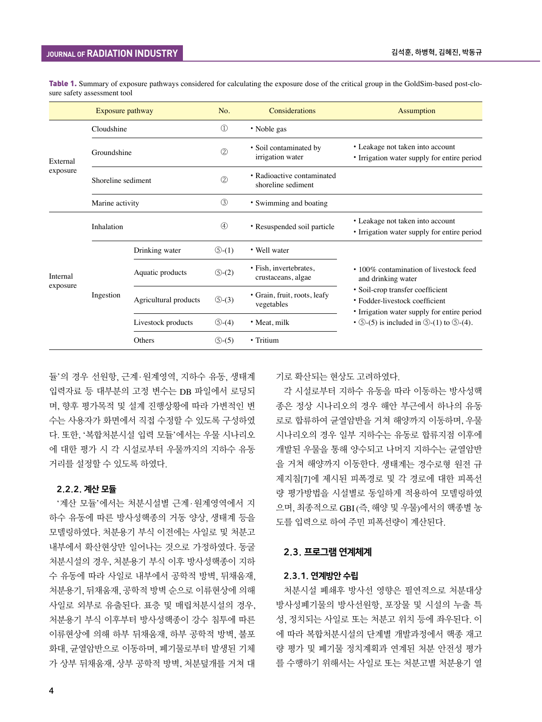|                      | Exposure pathway   |                       | No.                   | Considerations                                   | <b>Assumption</b>                                                                                                 |
|----------------------|--------------------|-----------------------|-----------------------|--------------------------------------------------|-------------------------------------------------------------------------------------------------------------------|
|                      | Cloudshine         |                       | $\circled{1}$         | • Noble gas                                      |                                                                                                                   |
| External<br>exposure | Groundshine        |                       | $^{\circledR}$        | · Soil contaminated by<br>irrigation water       | • Leakage not taken into account<br>• Irrigation water supply for entire period                                   |
|                      | Shoreline sediment |                       | 2                     | • Radioactive contaminated<br>shoreline sediment |                                                                                                                   |
|                      | Marine activity    |                       | 3                     | • Swimming and boating                           |                                                                                                                   |
| Internal             | Inhalation         |                       | $\circled{4}$         | • Resuspended soil particle                      | • Leakage not taken into account<br>• Irrigation water supply for entire period                                   |
|                      |                    | Drinking water        | $\circled{5}$ - $(1)$ | • Well water                                     |                                                                                                                   |
|                      | Ingestion          | Aquatic products      | $\circled{5}$ - $(2)$ | · Fish, invertebrates,<br>crustaceans, algae     | • 100% contamination of livestock feed<br>and drinking water                                                      |
| exposure             |                    | Agricultural products | $\circled{5}$ -(3)    | · Grain, fruit, roots, leafy<br>vegetables       | • Soil-crop transfer coefficient<br>• Fodder-livestock coefficient<br>• Irrigation water supply for entire period |
|                      |                    | Livestock products    | $\circled{5}$ -(4)    | • Meat, milk                                     | $\cdot$ (5)-(5) is included in $\circled{5}$ -(1) to $\circled{5}$ -(4).                                          |
|                      |                    | Others                | $\circled{5}$ -(5)    | • Tritium                                        |                                                                                                                   |

Table 1. Summary of exposure pathways considered for calculating the exposure dose of the critical group in the GoldSim-based post-closure safety assessment tool

듈'의 경우 선원항, 근계·원계영역, 지하수 유동, 생태계 입력자료 등 대부분의 고정 변수는 DB 파일에서 로딩되 며, 향후 평가목적 및 설계 진행상황에 따라 가변적인 변 수는 사용자가 화면에서 직접 수정할 수 있도록 구성하였 다. 또한, '복합처분시설 입력 모듈'에서는 우물 시나리오 에 대한 평가 시 각 시설로부터 우물까지의 지하수 유동 거리를 설정할 수 있도록 하였다.

#### 2.2.2. 계산 모듈

'계산 모듈'에서는 처분시설별 근계·원계영역에서 지 하수 유동에 따른 방사성핵종의 거동 양상, 생태계 등을 모델링하였다. 처분용기 부식 이전에는 사일로 및 처분고 내부에서 확산현상만 일어나는 것으로 가정하였다. 동굴 처분시설의 경우, 처분용기 부식 이후 방사성핵종이 지하 수 유동에 따라 사일로 내부에서 공학적 방벽, 뒤채움재, 처분용기, 뒤채움재, 공학적 방벽 순으로 이류현상에 의해 사일로 외부로 유출된다. 표층 및 매립처분시설의 경우, 처분용기 부식 이후부터 방사성핵종이 강수 침투에 따른 이류현상에 의해 하부 뒤채움재, 하부 공학적 방벽, 불포 화대, 균열암반으로 이동하며, 폐기물로부터 발생된 기체 가 상부 뒤채움재, 상부 공학적 방벽, 처분덮개를 거쳐 대

기로 확산되는 현상도 고려하였다.

각 시설로부터 지하수 유동을 따라 이동하는 방사성핵 종은 정상 시나리오의 경우 해안 부근에서 하나의 유동 로로 합류하여 균열암반을 거쳐 해양까지 이동하며, 우물 시나리오의 경우 일부 지하수는 유동로 합류지점 이후에 개발된 우물을 통해 양수되고 나머지 지하수는 균열암반 을 거쳐 해양까지 이동한다. 생태계는 경수로형 원전 규 제지침[7]에 제시된 피폭경로 및 각 경로에 대한 피폭선 량 평가방법을 시설별로 동일하게 적용하여 모델링하였 으며, 최종적으로 GBI(즉, 해양 및 우물)에서의 핵종별 농 도를 입력으로 하여 주민 피폭선량이 계산된다.

#### 2.3. 프로그램 연계체계

#### 2.3.1. 연계방안 수립

처분시설 폐쇄후 방사선 영향은 필연적으로 처분대상 방사성폐기물의 방사선원항, 포장물 및 시설의 누출 특 성, 정치되는 사일로 또는 처분고 위치 등에 좌우된다. 이 에 따라 복합처분시설의 단계별 개발과정에서 핵종 재고 량 평가 및 폐기물 정치계획과 연계된 처분 안전성 평가 를 수행하기 위해서는 사일로 또는 처분고별 처분용기 열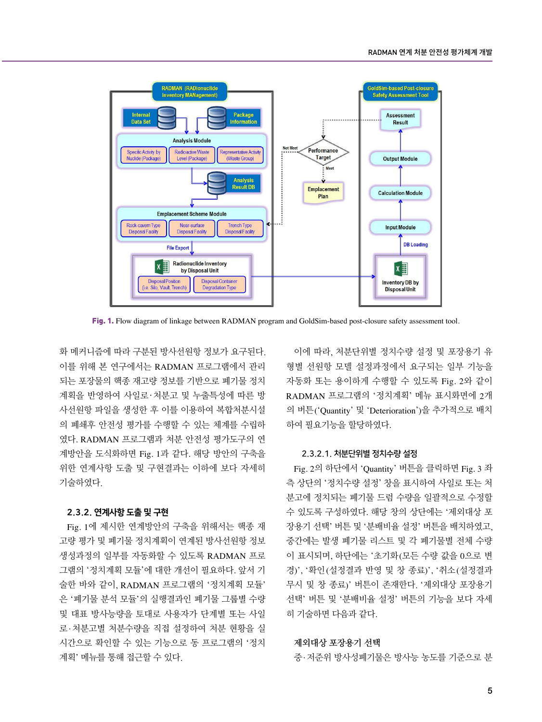

Fig. 1. Flow diagram of linkage between RADMAN program and GoldSim-based post-closure safety assessment tool.

화 메커니즘에 따라 구분된 방사선원항 정보가 요구된다. 이를 위해 본 연구에서는 RADMAN 프로그램에서 관리 되는 포장물의 핵종 재고량 정보를 기반으로 폐기물 정치 계획을 반영하여 사일로ㆍ처분고 및 누출특성에 따른 방 사선원항 파일을 생성한 후 이를 이용하여 복합처분시설 의 폐쇄후 안전성 평가를 수행할 수 있는 체계를 수립하 였다. RADMAN 프로그램과 처분 안전성 평가도구의 연 계방안을 도식화하면 Fig. 1과 같다. 해당 방안의 구축을 위한 연계사항 도출 및 구현결과는 이하에 보다 자세히 기술하였다.

#### 2.3.2. 연계사항 도출 및 구현

Fig. 1에 제시한 연계방안의 구축을 위해서는 핵종 재 고량 평가 및 폐기물 정치계획이 연계된 방사선원항 정보 생성과정의 일부를 자동화할 수 있도록 RADMAN 프로 그램의 '정치계획 모듈'에 대한 개선이 필요하다. 앞서 기 술한 바와 같이, RADMAN 프로그램의 '정치계획 모듈' 은 '폐기물 분석 모듈'의 실행결과인 폐기물 그룹별 수량 및 대표 방사능량을 토대로 사용자가 단계별 또는 사일 로·처분고별 처분수량을 직접 설정하여 처분 현황을 실 시간으로 확인할 수 있는 기능으로 동 프로그램의 '정치 계획' 메뉴를 통해 접근할 수 있다.

이에 따라, 처분단위별 정치수량 설정 및 포장용기 유 형별 선원항 모델 설정과정에서 요구되는 일부 기능을 자동화 또는 용이하게 수행할 수 있도록 Fig. 2와 같이 RADMAN 프로그램의 '정치계획' 메뉴 표시화면에 2개 의 버튼('Quantity' 및 'Deterioration')을 추가적으로 배치 하여 필요기능을 할당하였다.

#### 2.3.2.1. 처분단위별 정치수량 설정

Fig. 2의 하단에서 'Quantity' 버튼을 클릭하면 Fig. 3 좌 측 상단의 '정치수량 설정' 창을 표시하여 사일로 또는 처 분고에 정치되는 폐기물 드럼 수량을 일괄적으로 수정할 수 있도록 구성하였다. 해당 창의 상단에는 '제외대상 포 장용기 선택' 버튼 및 '분배비율 설정' 버튼을 배치하였고, 중간에는 발생 폐기물 리스트 및 각 폐기물별 전체 수량 이 표시되며, 하단에는 '초기화(모든 수량 값을 0으로 변 경)', '확인(설정결과 반영 및 창 종료)', '취소(설정결과 무시 및 창 종료)' 버튼이 존재한다. '제외대상 포장용기 선택' 버튼 및 '분배비율 설정' 버튼의 기능을 보다 자세 히 기술하면 다음과 같다.

#### **제외대상 포장용기 선택**

중·저준위 방사성폐기물은 방사능 농도를 기준으로 분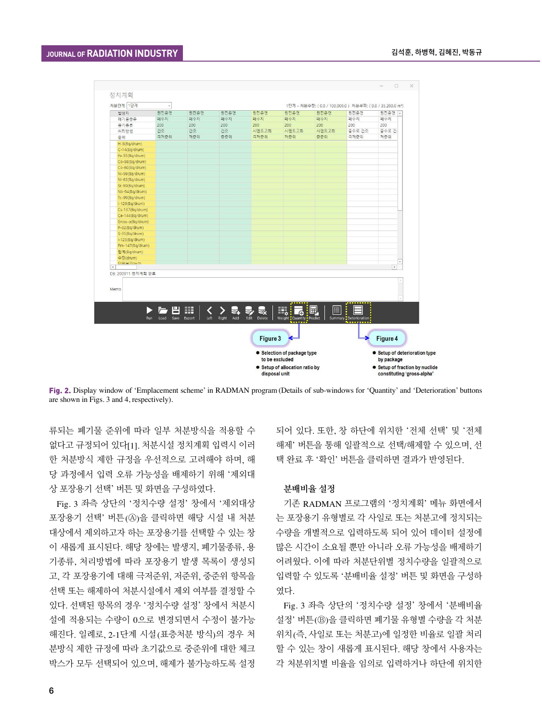

Fig. 2. Display window of 'Emplacement scheme' in RADMAN program (Details of sub-windows for 'Quantity' and 'Deterioration' buttons are shown in Figs. 3 and 4, respectively).

류되는 폐기물 준위에 따라 일부 처분방식을 적용할 수 없다고 규정되어 있다[1]. 처분시설 정치계획 입력시 이러 한 처분방식 제한 규정을 우선적으로 고려해야 하며, 해 당 과정에서 입력 오류 가능성을 배제하기 위해 '제외대 상 포장용기 선택' 버튼 및 화면을 구성하였다.

Fig. 3 좌측 상단의 '정치수량 설정' 창에서 '제외대상 포장용기 선택' 버튼(Ⓐ)을 클릭하면 해당 시설 내 처분 대상에서 제외하고자 하는 포장용기를 선택할 수 있는 창 이 새롭게 표시된다. 해당 창에는 발생지, 폐기물종류, 용 기종류, 처리방법에 따라 포장용기 발생 목록이 생성되 고, 각 포장용기에 대해 극저준위, 저준위, 중준위 항목을 선택 또는 해제하여 처분시설에서 제외 여부를 결정할 수 있다. 선택된 항목의 경우 '정치수량 설정' 창에서 처분시 설에 적용되는 수량이 0으로 변경되면서 수정이 불가능 해진다. 일례로, 2-1단계 시설(표층처분 방식)의 경우 처 분방식 제한 규정에 따라 초기값으로 중준위에 대한 체크 박스가 모두 선택되어 있으며, 해제가 불가능하도록 설정

되어 있다. 또한, 창 하단에 위치한 '전체 선택' 및 '전체 해제' 버튼을 통해 일괄적으로 선택/해제할 수 있으며, 선 택 완료 후 '확인' 버튼을 클릭하면 결과가 반영된다.

#### **분배비율 설정**

기존 RADMAN 프로그램의 '정치계획' 메뉴 화면에서 는 포장용기 유형별로 각 사일로 또는 처분고에 정치되는 수량을 개별적으로 입력하도록 되어 있어 데이터 설정에 많은 시간이 소요될 뿐만 아니라 오류 가능성을 배제하기 어려웠다. 이에 따라 처분단위별 정치수량을 일괄적으로 입력할 수 있도록 '분배비율 설정' 버튼 및 화면을 구성하 였다.

Fig. 3 좌측 상단의 '정치수량 설정' 창에서 '분배비율 설정' 버튼(Ⓑ)을 클릭하면 폐기물 유형별 수량을 각 처분 위치(즉, 사일로 또는 처분고)에 일정한 비율로 일괄 처리 할 수 있는 창이 새롭게 표시된다. 해당 창에서 사용자는 각 처분위치별 비율을 임의로 입력하거나 하단에 위치한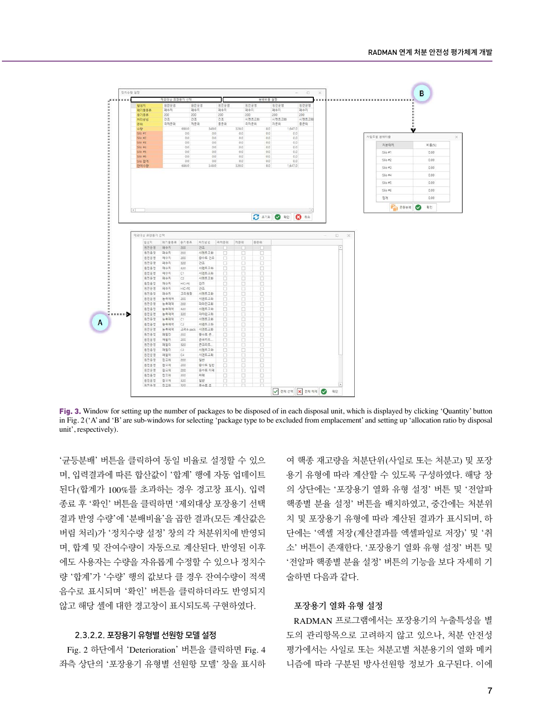

Fig. 3. Window for setting up the number of packages to be disposed of in each disposal unit, which is displayed by clicking 'Quantity' button in Fig. 2 ('A' and 'B' are sub-windows for selecting 'package type to be excluded from emplacement' and setting up 'allocation ratio by disposal unit', respectively).

'균등분배' 버튼을 클릭하여 동일 비율로 설정할 수 있으 며, 입력결과에 따른 합산값이 '합계' 행에 자동 업데이트 된다(합계가 100%를 초과하는 경우 경고창 표시). 입력 종료 후 '확인' 버튼을 클릭하면 '제외대상 포장용기 선택 결과 반영 수량'에 '분배비율'을 곱한 결과(모든 계산값은 버림 처리)가 '정치수량 설정' 창의 각 처분위치에 반영되 며, 합계 및 잔여수량이 자동으로 계산된다. 반영된 이후 에도 사용자는 수량을 자유롭게 수정할 수 있으나 정치수 량 '합계'가 '수량' 행의 값보다 클 경우 잔여수량이 적색 음수로 표시되며 '확인' 버튼을 클릭하더라도 반영되지 않고 해당 셀에 대한 경고창이 표시되도록 구현하였다.

#### 2.3.2.2. 포장용기 유형별 선원항 모델 설정

Fig. 2 하단에서 'Deterioration' 버튼을 클릭하면 Fig. 4 좌측 상단의 '포장용기 유형별 선원항 모델' 창을 표시하 여 핵종 재고량을 처분단위(사일로 또는 처분고) 및 포장 용기 유형에 따라 계산할 수 있도록 구성하였다. 해당 창 의 상단에는 '포장용기 열화 유형 설정' 버튼 및 '전알파 핵종별 분율 설정' 버튼을 배치하였고, 중간에는 처분위 치 및 포장용기 유형에 따라 계산된 결과가 표시되며, 하 단에는 '엑셀 저장(계산결과를 엑셀파일로 저장)' 및 '취 소' 버튼이 존재한다. '포장용기 열화 유형 설정' 버튼 및 '전알파 핵종별 분율 설정' 버튼의 기능을 보다 자세히 기 술하면 다음과 같다.

#### **포장용기 열화 유형 설정**

RADMAN 프로그램에서는 포장용기의 누출특성을 별 도의 관리항목으로 고려하지 않고 있으나, 처분 안전성 평가에서는 사일로 또는 처분고별 처분용기의 열화 메커 니즘에 따라 구분된 방사선원항 정보가 요구된다. 이에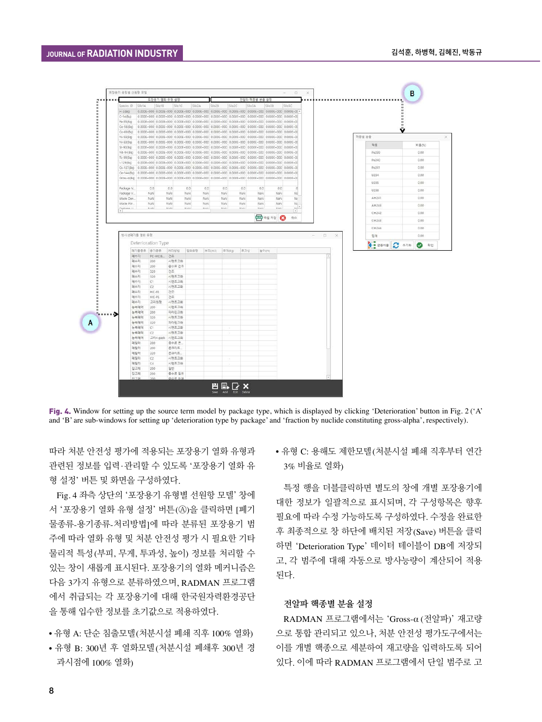

Fig. 4. Window for setting up the source term model by package type, which is displayed by clicking 'Deterioration' button in Fig. 2 ('A' and 'B' are sub-windows for setting up 'deterioration type by package' and 'fraction by nuclide constituting gross-alpha', respectively).

따라 처분 안전성 평가에 적용되는 포장용기 열화 유형과 관련된 정보를 입력·관리할 수 있도록 '포장용기 열화 유 형 설정' 버튼 및 화면을 구성하였다.

Fig. 4 좌측 상단의 '포장용기 유형별 선원항 모델' 창에 서 '포장용기 열화 유형 설정' 버튼(4))을 클릭하면 [폐기 물종류-용기종류-처리방법]에 따라 분류된 포장용기 범 주에 따라 열화 유형 및 처분 안전성 평가 시 필요한 기타 물리적 특성(부피, 무게, 투과성, 높이) 정보를 처리할 수 있는 창이 새롭게 표시된다. 포장용기의 열화 메커니즘은 다음 3가지 유형으로 분류하였으며, RADMAN 프로그램 에서 취급되는 각 포장용기에 대해 한국원자력환경공단 을 통해 입수한 정보를 초기값으로 적용하였다.

- 유형 A: 단순 침출모델(처분시설 폐쇄 직후 100% 열화)
- 유형 B: 300년 후 열화모델(처분시설 폐쇄후 300년 경 과시점에 100% 열화)

• 유형 C: 용해도 제한모델(처분시설 폐쇄 직후부터 연간 3% 비율로 열화)

특정 행을 더블클릭하면 별도의 창에 개별 포장용기에 대한 정보가 일괄적으로 표시되며, 각 구성항목은 향후 필요에 따라 수정 가능하도록 구성하였다. 수정을 완료한 후 최종적으로 창 하단에 배치된 저장(Save) 버튼을 클릭 하면 'Deterioration Type' 데이터 테이블이 DB에 저장되 고, 각 범주에 대해 자동으로 방사능량이 계산되어 적용 된다.

#### **전알파 핵종별 분율 설정**

RADMAN 프로그램에서는 'Gross-α (전알파)' 재고량 으로 통합 관리되고 있으나, 처분 안전성 평가도구에서는 이를 개별 핵종으로 세분하여 재고량을 입력하도록 되어 있다. 이에 따라 RADMAN 프로그램에서 단일 범주로 고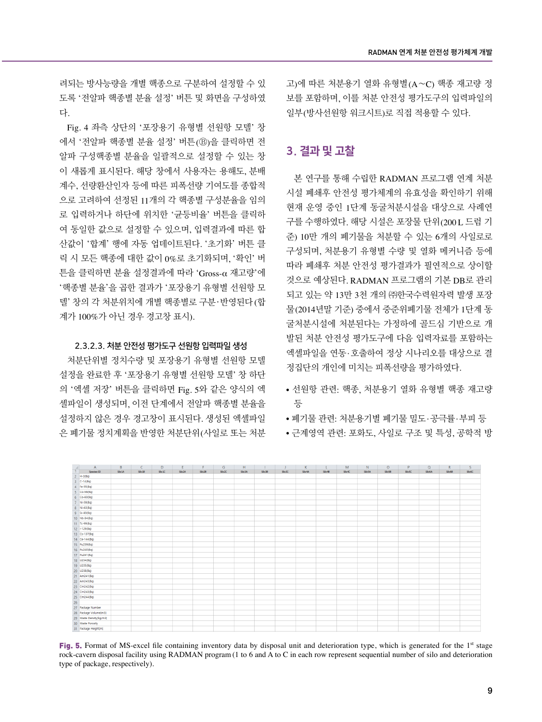려되는 방사능량을 개별 핵종으로 구분하여 설정할 수 있 도록 '전알파 핵종별 분율 설정' 버튼 및 화면을 구성하였 다.

Fig. 4 좌측 상단의 '포장용기 유형별 선원항 모델' 창 에서 '전알파 핵종별 분율 설정' 버튼(Ⓑ)을 클릭하면 전 알파 구성핵종별 분율을 일괄적으로 설정할 수 있는 창 이 새롭게 표시된다. 해당 창에서 사용자는 용해도, 분배 계수, 선량환산인자 등에 따른 피폭선량 기여도를 종합적 으로 고려하여 선정된 11개의 각 핵종별 구성분율을 임의 로 입력하거나 하단에 위치한 '균등비율' 버튼을 클릭하 여 동일한 값으로 설정할 수 있으며, 입력결과에 따른 합 산값이 '합계' 행에 자동 업데이트된다. '초기화' 버튼 클 릭 시 모든 핵종에 대한 값이 0%로 초기화되며, '확인' 버 튼을 클릭하면 분율 설정결과에 따라 'Gross-α 재고량'에 '핵종별 분율'을 곱한 결과가 '포장용기 유형별 선원항 모 델' 창의 각 처분위치에 개별 핵종별로 구분ㆍ반영된다(합 계가 100%가 아닌 경우 경고창 표시).

#### 2.3.2.3. 처분 안전성 평가도구 선원항 입력파일 생성

처분단위별 정치수량 및 포장용기 유형별 선원항 모델 설정을 완료한 후 '포장용기 유형별 선원항 모델' 창 하단 의 '엑셀 저장' 버튼을 클릭하면 Fig. 5와 같은 양식의 엑 셀파일이 생성되며, 이전 단계에서 전알파 핵종별 분율을 설정하지 않은 경우 경고창이 표시된다. 생성된 엑셀파일 은 폐기물 정치계획을 반영한 처분단위(사일로 또는 처분 고)에 따른 처분용기 열화 유형별(A∼C) 핵종 재고량 정 보를 포함하며, 이를 처분 안전성 평가도구의 입력파일의 일부(방사선원항 워크시트)로 직접 적용할 수 있다.

## 3. 결과 및 고찰

본 연구를 통해 수립한 RADMAN 프로그램 연계 처분 시설 폐쇄후 안전성 평가체계의 유효성을 확인하기 위해 현재 운영 중인 1단계 동굴처분시설을 대상으로 사례연 구를 수행하였다. 해당 시설은 포장물 단위(200 L 드럼 기 준) 10만 개의 폐기물을 처분할 수 있는 6개의 사일로로 구성되며, 처분용기 유형별 수량 및 열화 메커니즘 등에 따라 폐쇄후 처분 안전성 평가결과가 필연적으로 상이할 것으로 예상된다. RADMAN 프로그램의 기본 DB로 관리 되고 있는 약 13만 3천 개의 ㈜한국수력원자력 발생 포장 물(2014년말 기준) 중에서 중준위폐기물 전체가 1단계 동 굴처분시설에 처분된다는 가정하에 골드심 기반으로 개 발된 처분 안전성 평가도구에 다음 입력자료를 포함하는 엑셀파일을 연동·호출하여 정상 시나리오를 대상으로 결 정집단의 개인에 미치는 피폭선량을 평가하였다.

- 선원항 관련: 핵종, 처분용기 열화 유형별 핵종 재고량 등
- 폐기물 관련: 처분용기별 폐기물 밀도·공극률·부피 등
- 근계영역 관련: 포화도, 사일로 구조 및 특성, 공학적 방



Fig. 5. Format of MS-excel file containing inventory data by disposal unit and deterioration type, which is generated for the 1<sup>st</sup> stage rock-cavern disposal facility using RADMAN program (1 to 6 and A to C in each row represent sequential number of silo and deterioration type of package, respectively).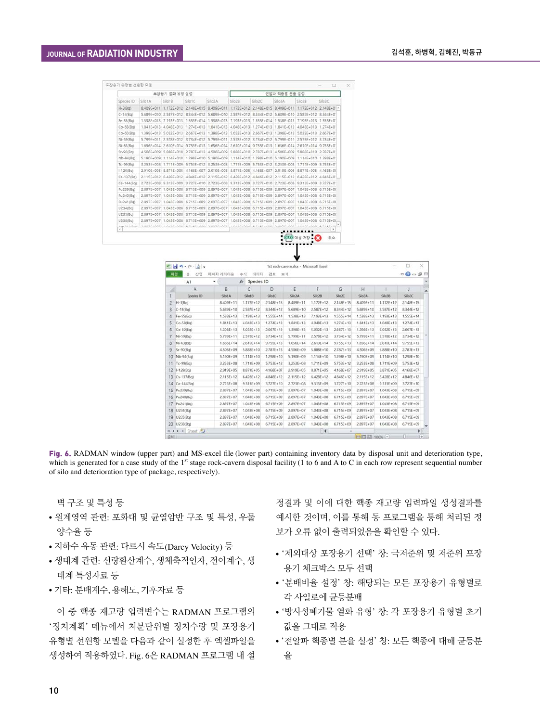|                              |                | 포장용기 열화 유형 설정  |                                                        |        | 전알파 핵증별 분률 설정                    |                |                                                                                                   |                      |                             |  |
|------------------------------|----------------|----------------|--------------------------------------------------------|--------|----------------------------------|----------------|---------------------------------------------------------------------------------------------------|----------------------|-----------------------------|--|
| Species ID                   | SiloTA         | Silo1B         | Silo1C                                                 | Silo2A | Silo2B                           | Silo2C         | Silo3A                                                                                            | Silo3B               | Silo3C                      |  |
| $H-3(Bq)$                    | 8.409E+011     | $1.172E + 012$ |                                                        |        | 2.148E+015 B.409E+011 1.172E+012 | $2.148E + 015$ | 8.409E+011                                                                                        |                      | 1.172E+012 2.14RE+01 +      |  |
| $C-14(8q)$                   |                |                |                                                        |        |                                  |                | 5.689E+010 2.587E+012 8.344E+012 5.689E+010 2.587E+012 8.344E+012 5.689E+010 2.587E+012 8.344E+0  |                      |                             |  |
| Fe-55(Bg)                    |                |                |                                                        |        |                                  |                | 1,538E+013 7,193E+013 1,555E+014 1,538E+013 7,193E+013 1,555E+014 1,538E+013 7,193E+013 1,555E+01 |                      |                             |  |
| Co-58(Bg)                    |                |                |                                                        |        |                                  |                | 1.841E+013 4.048E+013 1.274E+013 1.841E+013 4.048E+013 1.274E+013 1.841E+013 4.048E+013 1.274E+0  |                      |                             |  |
| Co-60(Bg)                    |                |                |                                                        |        |                                  |                | 1.398E+013 5.032E+013 2.667E+013 1.398E+013 5.032E+013 2.667E+013 1.398E+013 5.032E+013 2.667E+01 |                      |                             |  |
| NI-59(Bg)                    |                |                |                                                        |        |                                  |                | 5 799E+011 2 578E+012 3 734E+012 5 799E+011 2 578E+012 3 734E+012 5 799E+011 2 578E+012 3 734E+01 |                      |                             |  |
| NI-63(Bg)                    |                |                |                                                        |        |                                  |                | 1.656E+014 2.610E+014 9.755E+013 1.656E+014 2.610E+014 9.755E+013 1.656E+014 2.610E+014 9.755E+01 |                      |                             |  |
| $Sr-9O(Bq)$                  |                |                |                                                        |        |                                  |                | 4,506E+009 5,888E+010 2,787E+013 4,506E+009 5,888E+010 2,787E+013 4,506E+009 5,888E+010 2,787E+01 |                      |                             |  |
| Nb-94(Bg)                    |                |                |                                                        |        |                                  |                | 5.190E+009 1.114E+010 1.298E+010 5.190E+009 1.114E+010 1.298E+010 5.190E+009 1.114E+010 1.298E+01 |                      |                             |  |
| Tc-99(Bg)                    |                |                |                                                        |        |                                  |                | 3.253E+008 1.711E+009 5.753E+012 3.253E+008 1.711E+009 5.753E+012 3.253E+008 1.711E+009 5.753E+01 |                      |                             |  |
| $1 - 129(Bq)$                |                |                |                                                        |        |                                  |                | 2.919E+005 8.871E+005 4.168E+007 2.919E+005 8.871E+005 4.168E+007 2.919E+005 8.871E+005 4.168E+00 |                      |                             |  |
| Cs-137(Bg)                   |                |                |                                                        |        |                                  |                | 2.115E+012 6.428E+012 4.846E+012 2.115E+012 6.428E+012 4.846E+012 2.115E+012 6.428E+012 4.846E+01 |                      |                             |  |
| Ce-144(Bg)                   |                |                |                                                        |        |                                  |                | 2.723E+008 9.313E+009 3.727E+010 2.723E+008 9.313E+009 3.727E+010 2.723E+008 9.313E+009 3.727E+0  |                      |                             |  |
| Pu239(Bg)                    |                |                |                                                        |        |                                  |                | 2.897E+007 1.043E+008 6.715E+009 2.897E+007 1.043E+008 6.715E+009 2.897E+007 1.043E+008 6.715E+00 |                      |                             |  |
| Pu240(8g)                    |                |                |                                                        |        |                                  |                | 2.897E+007 1.043E+008 6.715E+009 2.897E+007 1.043E+008 6.715E+009 2.897E+007 1.043E+008 6.715E+00 |                      |                             |  |
| Pu241(Bg)                    | $2.897E + 007$ |                |                                                        |        |                                  |                | 1.043E+008 6.715E+009 2.897E+007 1.043E+008 6.715E+009 2.897E+007 1.043E+008 6.715E+00            |                      |                             |  |
| U234(Bg)                     |                |                |                                                        |        |                                  |                | 2 897E+007 1.043E+008 6 715E+009 2 897E+007 1.043E+008 6 715E+009 2 897E+007 1.043E+008 6 715E+00 |                      |                             |  |
| U235(Bg)                     |                |                |                                                        |        |                                  |                | 2.897E+007 1.043E+008 6.715E+009 2.897E+007 1.043E+008 6.715E+009 2.897E+007 1.043E+008 6.715E+00 |                      |                             |  |
| U238(Bg)                     | 2.897E+007     |                | 1.043E+008 6.715E+009 2.897E+007 1.043E+008 6.715E+009 |        |                                  |                | 2.897E+007                                                                                        | 1.043E+008 6.715E+00 |                             |  |
| Am 3.4 + 10 ml<br>$\epsilon$ |                |                |                                                        |        |                                  |                | LOISE AND C THEE AND IT COTE ANT LAISE AND C THEE AND T GOTE ANT                                  |                      | LAISE, ANN & TIEF, AL-<br>٠ |  |

|                | A <sub>1</sub>    | $-12$         | $\sqrt{2}$<br>Species ID |               |               |                |               |                                         |               |               |    |
|----------------|-------------------|---------------|--------------------------|---------------|---------------|----------------|---------------|-----------------------------------------|---------------|---------------|----|
| 24             | A                 | B             | C                        | D             | Ε             | F              | G             | н                                       |               |               |    |
|                | Species ID        | SilolA        | Slo1B                    | Silo1C        | Silo2A        | Silo2B         | Sllo2C        | Silo3A                                  | Silo38        | Slo3C         |    |
| $\overline{c}$ | $H-3(Bq)$         | 8.409E+11     | 1.172E+12                | $2.148E + 15$ | 8.409E+11     | $1.172E + 12$  | $2.148E + 15$ | 8.409E+11                               | $1.172E + 12$ | $2.148E + 15$ |    |
| 3              | $C-14(Bq)$        | $5.689E + 10$ | $2.587E + 12$            | $8.344E + 12$ | $5.689E + 10$ | $2.587E + 12$  | $8.344E + 12$ | 5.689E+10                               | $2.587E + 12$ | 8.344E+12     |    |
| 4              | Fe-55(Bq)         | $1.538E + 13$ | $7.193E + 13$            | $1.555E + 14$ | $1.538E + 13$ | $7.193E+13$    | $1.555E + 14$ | $1.538E + 13$                           | $7.193E + 13$ | $1.555E + 14$ |    |
| 5              | $Co-58(Bq)$       | 1.841E+13     | $4.048E + 13$            | $1,274E+13$   | $1.841E + 13$ | $4.048E + 13$  | $1.274E + 13$ | 1.841E+13                               | $4.048E + 13$ | $1,274E+13$   |    |
| 6              | $Co-6O(Ba)$       | $1.398E + 13$ | $5.032E + 13$            | $2.667E + 13$ | $1.398E + 13$ | $5.032E + 13$  | $2.667E + 13$ | $1.398E + 13$                           | $5.032E + 13$ | $2.667E+13$   |    |
| $\overline{7}$ | $Ni-59(Bq)$       | $5.799E + 11$ | 2.578E+12                | $3.734E + 12$ | $5.799E + 11$ | 2.578E+12      | $3.734E + 12$ | $5.799E + 11$                           | 2.578E+12     | $3.734E + 12$ |    |
| 8              | $Ni-63(Bq)$       | $1.656E + 14$ | $2.610E + 14$            | $9.755E + 13$ | $1.656E + 14$ | $2.610E+14$    | $9.755E + 13$ | $1.656E + 14$                           | $2.610E + 14$ | $9.755E + 13$ |    |
| 9              | $Sr-90(Bq)$       | $4.506E + 09$ | $5.888E + 10$            | $2.787E + 13$ | $4.506E + 09$ | $5.888E + 10$  | $2.787E + 13$ | $4.506E + 09$                           | 5.888E+10     | $2.787E + 13$ |    |
| 10             | Nb-94(Bq)         | $5.190E + 09$ | $1.114E + 10$            | 1.298E+10     | $5.190E + 09$ | $1.114E + 10$  | 1,298E+10     | $5.190E + 09$                           | $1.114E + 10$ | 1,298E+10     |    |
| 11             | Tc-99(Bq)         | 3.253E+08     | 1.711E+09                | $5.753E + 12$ | 3.253E+08     | 1,711E+09      | $5.753E + 12$ | 3.253E+08                               | 1,711E+09     | $5.753E + 12$ |    |
| 12             | $1 - 129(Bq)$     | 2.919E+05     | 8.871E+05                | $4.168E + 07$ | $2.919E + 05$ | B.871E+05      | $4.168E + 07$ | $2.919E + 05$                           | 8.871E+05     | $4.168E + 07$ |    |
| 13             | $Cs - 137(Bq)$    | 2.115E+12     | $6.428E + 12$            | 4.846E+12     | $2.115E + 12$ | $6.428E+12$    | 4.846E+12     | 2.115E+12                               | $6.428E + 12$ | 4.846E+12     |    |
| 14             | $Ce-144(Bq)$      | $2.723E + 08$ | $9.313E + 09$            | $3.727E + 10$ | $2.723E + 08$ | $9.313E + 09$  | $3.727E + 10$ | $2.723E + 08$                           | $9.313E + 09$ | $3.727E + 10$ |    |
| 15             | Pu239(Bg)         | $2.897E + 07$ | $1.043E + 08$            | $6.715E + 09$ | $2.897E + 07$ | $1.043E + 08$  | $6.715E + 09$ | $2.897E + 07$                           | $1.043E + 08$ | $6.715E + 09$ |    |
| 16             | Pu240(Bq)         | $2.897E + 07$ | $1.043E + 08$            | $6.715E + 09$ | $2.897E + 07$ | $1.043E + 08$  | 6.715E+09     | 2.897E+07                               | $1.043E + 08$ | $6.715E + 09$ |    |
| 17             | Pu241(Bg)         | 2.897E+07     | $1.043E + 08$            | $6.715E + 09$ | 2.897E+07     | $1.043E + 08$  | $6.715E + 09$ | 2.897E+07                               | $1.043E + 08$ | $6.715E + 09$ |    |
| 18             | U234(Bq)          | $2.897E + 07$ | $1.043E + 08$            | $6.715E + 09$ | $2.897E + 07$ | $1.043E + 08$  | $6.715E + 09$ | $2.897E + 07$                           | $1.043E + 08$ | $6.715E + 09$ |    |
|                | 19 U235(Bq)       | 2.897E+07     | $1.043E + 08$            | 6.715E+09     | $2.897E + 07$ | 1.043E+08      | 6.715E+09     | 2.897E+07                               | $1.043E + 08$ | 6.715E+09     |    |
|                | 20 U238(Bg)       | 2.897E+07     | $1.043E + 08$            | $6.715E + O9$ | 2.897E+07     | $1.043E + 08$  | $6.715E + 09$ | 2.897E+07                               | $1.043E + 08$ | $6.715E + 09$ |    |
|                | K 4 P H Sheet / 2 |               |                          |               |               | $\blacksquare$ |               |                                         |               |               |    |
| 25.541 (1)     |                   |               |                          |               |               |                |               | $F \to T \to T \to T \to T \to T \to T$ |               | in Tie        | 16 |

JL

Fig. 6. RADMAN window (upper part) and MS-excel file (lower part) containing inventory data by disposal unit and deterioration type, which is generated for a case study of the  $1<sup>st</sup>$  stage rock-cavern disposal facility (1 to 6 and A to C in each row represent sequential number of silo and deterioration type of package, respectively).

벽 구조 및 특성 등

- 원계영역 관련: 포화대 및 균열암반 구조 및 특성, 우물 양수율 등
- 지하수 유동 관련: 다르시 속도(Darcy Velocity) 등
- 생태계 관련: 선량환산계수, 생체축적인자, 전이계수, 생 태계 특성자료 등
- 기타: 분배계수, 용해도, 기후자료 등

이 중 핵종 재고량 입력변수는 RADMAN 프로그램의 '정치계획' 메뉴에서 처분단위별 정치수량 및 포장용기 유형별 선원항 모델을 다음과 같이 설정한 후 엑셀파일을 생성하여 적용하였다. Fig. 6은 RADMAN 프로그램 내 설

정결과 및 이에 대한 핵종 재고량 입력파일 생성결과를 예시한 것이며, 이를 통해 동 프로그램을 통해 처리된 정 보가 오류 없이 출력되었음을 확인할 수 있다.

- '제외대상 포장용기 선택' 창: 극저준위 및 저준위 포장 용기 체크박스 모두 선택
- '분배비율 설정' 창: 해당되는 모든 포장용기 유형별로 각 사일로에 균등분배
- '방사성폐기물 열화 유형' 창: 각 포장용기 유형별 초기 값을 그대로 적용
- '전알파 핵종별 분율 설정' 창: 모든 핵종에 대해 균등분 율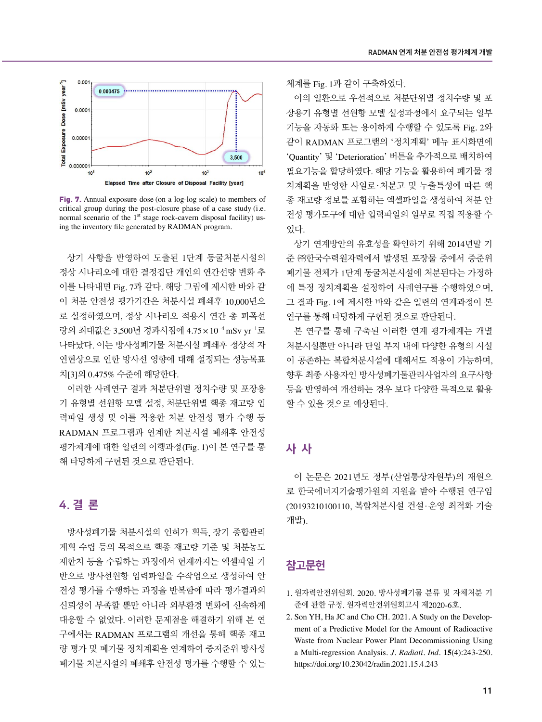

Fig. 7. Annual exposure dose (on a log-log scale) to members of critical group during the post-closure phase of a case study (i.e. normal scenario of the  $1<sup>st</sup>$  stage rock-cavern disposal facility) using the inventory file generated by RADMAN program.

상기 사항을 반영하여 도출된 1단계 동굴처분시설의 정상 시나리오에 대한 결정집단 개인의 연간선량 변화 추 이를 나타내면 Fig. 7과 같다. 해당 그림에 제시한 바와 같 이 처분 안전성 평가기간은 처분시설 폐쇄후 10,000년으 로 설정하였으며, 정상 시나리오 적용시 연간 총 피폭선 량의 최대값은 3,500년 경과시점에 4.75 × 10<sup>-4</sup> mSv yr<sup>-1</sup>로 나타났다. 이는 방사성폐기물 처분시설 폐쇄후 정상적 자 연현상으로 인한 방사선 영향에 대해 설정되는 성능목표 치[3]의 0.475% 수준에 해당한다.

이러한 사례연구 결과 처분단위별 정치수량 및 포장용 기 유형별 선원항 모델 설정, 처분단위별 핵종 재고량 입 력파일 생성 및 이를 적용한 처분 안전성 평가 수행 등 RADMAN 프로그램과 연계한 처분시설 폐쇄후 안전성 평가체계에 대한 일련의 이행과정(Fig. 1)이 본 연구를 통 해 타당하게 구현된 것으로 판단된다.

## 4. 결 론

방사성폐기물 처분시설의 인허가 획득, 장기 종합관리 계획 수립 등의 목적으로 핵종 재고량 기준 및 처분농도 제한치 등을 수립하는 과정에서 현재까지는 엑셀파일 기 반으로 방사선원항 입력파일을 수작업으로 생성하여 안 전성 평가를 수행하는 과정을 반복함에 따라 평가결과의 신뢰성이 부족할 뿐만 아니라 외부환경 변화에 신속하게 대응할 수 없었다. 이러한 문제점을 해결하기 위해 본 연 구에서는 RADMAN 프로그램의 개선을 통해 핵종 재고 량 평가 및 폐기물 정치계획을 연계하여 중저준위 방사성 폐기물 처분시설의 폐쇄후 안전성 평가를 수행할 수 있는 체계를 Fig. 1과 같이 구축하였다.

이의 일환으로 우선적으로 처분단위별 정치수량 및 포 장용기 유형별 선원항 모델 설정과정에서 요구되는 일부 기능을 자동화 또는 용이하게 수행할 수 있도록 Fig. 2와 같이 RADMAN 프로그램의 '정치계획' 메뉴 표시화면에 'Quantity' 및 'Deterioration' 버튼을 추가적으로 배치하여 필요기능을 할당하였다. 해당 기능을 활용하여 폐기물 정 치계획을 반영한 사일로ㆍ처분고 및 누출특성에 따른 핵 종 재고량 정보를 포함하는 엑셀파일을 생성하여 처분 안 전성 평가도구에 대한 입력파일의 일부로 직접 적용할 수 있다.

상기 연계방안의 유효성을 확인하기 위해 2014년말 기 준 ㈜한국수력원자력에서 발생된 포장물 중에서 중준위 폐기물 전체가 1단계 동굴처분시설에 처분된다는 가정하 에 특정 정치계획을 설정하여 사례연구를 수행하였으며, 그 결과 Fig. 1에 제시한 바와 같은 일련의 연계과정이 본 연구를 통해 타당하게 구현된 것으로 판단된다.

본 연구를 통해 구축된 이러한 연계 평가체계는 개별 처분시설뿐만 아니라 단일 부지 내에 다양한 유형의 시설 이 공존하는 복합처분시설에 대해서도 적용이 가능하며, 향후 최종 사용자인 방사성폐기물관리사업자의 요구사항 등을 반영하여 개선하는 경우 보다 다양한 목적으로 활용 할 수 있을 것으로 예상된다.

## 사 사

이 논문은 2021년도 정부(산업통상자원부)의 재원으 로 한국에너지기술평가원의 지원을 받아 수행된 연구임 (20193210100110, 복합처분시설 건설·운영 최적화 기술 개발).

## 참고문헌

- 1. 원자력안전위원회. 2020. 방사성폐기물 분류 및 자체처분 기 준에 관한 규정. 원자력안전위원회고시 제2020-6호.
- 2. Son YH, Ha JC and Cho CH. 2021. A Study on the Development of a Predictive Model for the Amount of Radioactive Waste from Nuclear Power Plant Decommissioning Using a Multi-regression Analysis. *J. Radiati. Ind.* **15**(4):243-250. <https://doi.org/10.23042/radin.2021.15.4.243>